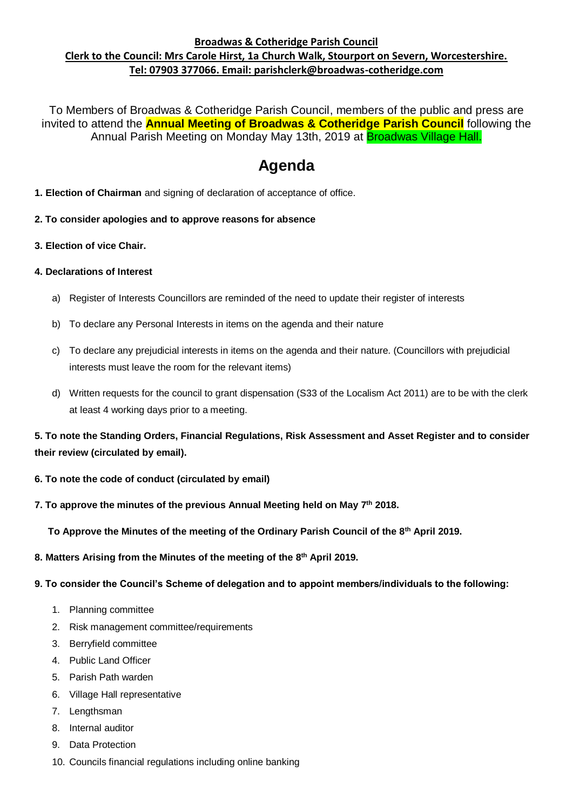## **Broadwas & Cotheridge Parish Council Clerk to the Council: Mrs Carole Hirst, 1a Church Walk, Stourport on Severn, Worcestershire. Tel: 07903 377066. Email: parishclerk@broadwas-cotheridge.com**

To Members of Broadwas & Cotheridge Parish Council, members of the public and press are invited to attend the **Annual Meeting of Broadwas & Cotheridge Parish Council** following the Annual Parish Meeting on Monday May 13th, 2019 at **Broadwas Village Hall.** 

# **Agenda**

- **1. Election of Chairman** and signing of declaration of acceptance of office.
- **2. To consider apologies and to approve reasons for absence**
- **3. Election of vice Chair.**

### **4. Declarations of Interest**

- a) Register of Interests Councillors are reminded of the need to update their register of interests
- b) To declare any Personal Interests in items on the agenda and their nature
- c) To declare any prejudicial interests in items on the agenda and their nature. (Councillors with prejudicial interests must leave the room for the relevant items)
- d) Written requests for the council to grant dispensation (S33 of the Localism Act 2011) are to be with the clerk at least 4 working days prior to a meeting.

**5. To note the Standing Orders, Financial Regulations, Risk Assessment and Asset Register and to consider their review (circulated by email).**

- **6. To note the code of conduct (circulated by email)**
- **7. To approve the minutes of the previous Annual Meeting held on May 7 th 2018.**

 **To Approve the Minutes of the meeting of the Ordinary Parish Council of the 8th April 2019.**

- **8. Matters Arising from the Minutes of the meeting of the 8 th April 2019.**
- **9. To consider the Council's Scheme of delegation and to appoint members/individuals to the following:**
	- 1. Planning committee
	- 2. Risk management committee/requirements
	- 3. Berryfield committee
	- 4. Public Land Officer
	- 5. Parish Path warden
	- 6. Village Hall representative
	- 7. Lengthsman
	- 8. Internal auditor
	- 9. Data Protection
	- 10. Councils financial regulations including online banking